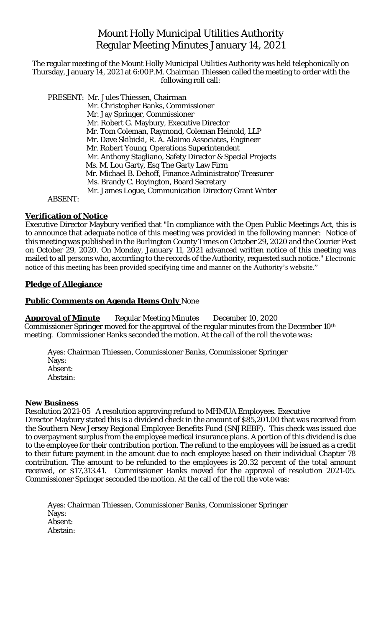## Mount Holly Municipal Utilities Authority Regular Meeting Minutes January 14, 2021

The regular meeting of the Mount Holly Municipal Utilities Authority was held telephonically on Thursday, January 14, 2021 at 6:00P.M. Chairman Thiessen called the meeting to order with the following roll call:

 PRESENT: Mr. Jules Thiessen, Chairman Mr. Christopher Banks, Commissioner Mr. Jay Springer, Commissioner Mr. Robert G. Maybury, Executive Director Mr. Tom Coleman, Raymond, Coleman Heinold, LLP Mr. Dave Skibicki, R. A. Alaimo Associates, Engineer Mr. Robert Young, Operations Superintendent Mr. Anthony Stagliano, Safety Director & Special Projects Ms. M. Lou Garty, Esq The Garty Law Firm Mr. Michael B. Dehoff, Finance Administrator/Treasurer Ms. Brandy C. Boyington, Board Secretary Mr. James Logue, Communication Director/Grant Writer ABSENT:

#### **Verification of Notice**

Executive Director Maybury verified that "In compliance with the Open Public Meetings Act, this is to announce that adequate notice of this meeting was provided in the following manner: Notice of this meeting was published in the Burlington County Times on October 29, 2020 and the Courier Post on October 29, 2020. On Monday, January 11, 2021 advanced written notice of this meeting was mailed to all persons who, according to the records of the Authority, requested such notice." Electronic notice of this meeting has been provided specifying time and manner on the Authority's website."

#### **Pledge of Allegiance**

#### **Public Comments on Agenda Items Only** None

**Approval of Minute** Regular Meeting Minutes December 10, 2020 Commissioner Springer moved for the approval of the regular minutes from the December 10th meeting. Commissioner Banks seconded the motion. At the call of the roll the vote was:

Ayes: Chairman Thiessen, Commissioner Banks, Commissioner Springer Nays: Absent: Abstain:

#### **New Business**

Resolution 2021-05 A resolution approving refund to MHMUA Employees. Executive Director Maybury stated this is a dividend check in the amount of \$85,201.00 that was received from the Southern New Jersey Regional Employee Benefits Fund (SNJREBF). This check was issued due to overpayment surplus from the employee medical insurance plans. A portion of this dividend is due to the employee for their contribution portion. The refund to the employees will be issued as a credit to their future payment in the amount due to each employee based on their individual Chapter 78 contribution. The amount to be refunded to the employees is 20.32 percent of the total amount received, or \$17,313.41. Commissioner Banks moved for the approval of resolution 2021-05. Commissioner Springer seconded the motion. At the call of the roll the vote was:

Ayes: Chairman Thiessen, Commissioner Banks, Commissioner Springer Nays: Absent: Abstain: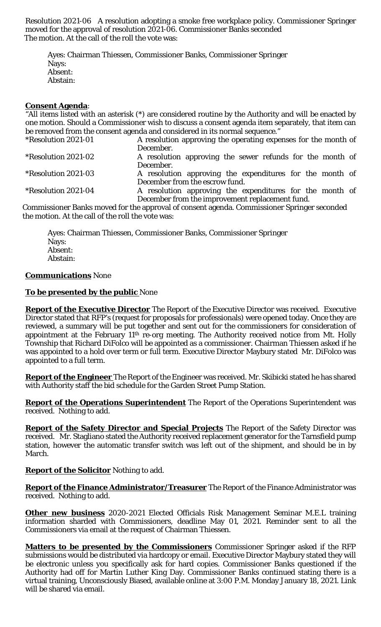Resolution 2021-06 A resolution adopting a smoke free workplace policy. Commissioner Springer moved for the approval of resolution 2021-06. Commissioner Banks seconded The motion. At the call of the roll the vote was:

Ayes: Chairman Thiessen, Commissioner Banks, Commissioner Springer Nays: Absent: Abstain:

#### **Consent Agenda**:

"All items listed with an asterisk (\*) are considered routine by the Authority and will be enacted by one motion. Should a Commissioner wish to discuss a consent agenda item separately, that item can be removed from the consent agenda and considered in its normal sequence."

| *Resolution 2021-01 | A resolution approving the operating expenses for the month of |
|---------------------|----------------------------------------------------------------|
|                     | December.                                                      |
| *Resolution 2021-02 | A resolution approving the sewer refunds for the month of      |
|                     | December.                                                      |
| *Resolution 2021-03 | A resolution approving the expenditures for the month of       |
|                     | December from the escrow fund.                                 |
| *Resolution 2021-04 | A resolution approving the expenditures for the month of       |
|                     | December from the improvement replacement fund.                |

Commissioner Banks moved for the approval of consent agenda. Commissioner Springer seconded the motion. At the call of the roll the vote was:

Ayes: Chairman Thiessen, Commissioner Banks, Commissioner Springer Nays: Absent: Abstain:

#### **Communications** None

#### **To be presented by the public** None

**Report of the Executive Director** The Report of the Executive Director was received. Executive Director stated that RFP's (request for proposals for professionals) were opened today. Once they are reviewed, a summary will be put together and sent out for the commissioners for consideration of appointment at the February 11<sup>th</sup> re-org meeting. The Authority received notice from Mt. Holly Township that Richard DiFolco will be appointed as a commissioner. Chairman Thiessen asked if he was appointed to a hold over term or full term. Executive Director Maybury stated Mr. DiFolco was appointed to a full term.

**Report of the Engineer** The Report of the Engineer was received. Mr. Skibicki stated he has shared with Authority staff the bid schedule for the Garden Street Pump Station.

**Report of the Operations Superintendent** The Report of the Operations Superintendent was received. Nothing to add.

**Report of the Safety Director and Special Projects** The Report of the Safety Director was received. Mr. Stagliano stated the Authority received replacement generator for the Tarnsfield pump station, however the automatic transfer switch was left out of the shipment, and should be in by March.

### **Report of the Solicitor** Nothing to add.

**Report of the Finance Administrator/Treasurer** The Report of the Finance Administrator was received. Nothing to add.

**Other new business** 2020-2021 Elected Officials Risk Management Seminar M.E.L training information sharded with Commissioners, deadline May 01, 2021. Reminder sent to all the Commissioners via email at the request of Chairman Thiessen.

**Matters to be presented by the Commissioners** Commissioner Springer asked if the RFP submissions would be distributed via hardcopy or email. Executive Director Maybury stated they will be electronic unless you specifically ask for hard copies. Commissioner Banks questioned if the Authority had off for Martin Luther King Day. Commissioner Banks continued stating there is a virtual training, Unconsciously Biased, available online at 3:00 P.M. Monday January 18, 2021. Link will be shared via email.